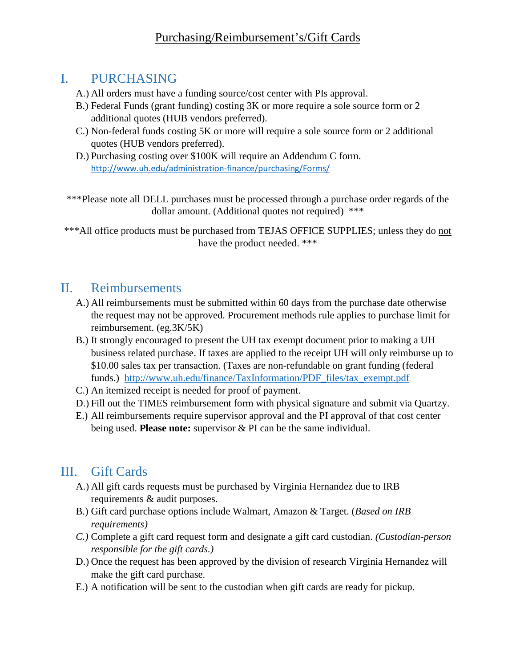## I. PURCHASING

- A.) All orders must have a funding source/cost center with PIs approval.
- B.) Federal Funds (grant funding) costing 3K or more require a sole source form or 2 additional quotes (HUB vendors preferred).
- C.) Non-federal funds costing 5K or more will require a sole source form or 2 additional quotes (HUB vendors preferred).
- D.) Purchasing costing over \$100K will require an Addendum C form. <http://www.uh.edu/administration-finance/purchasing/Forms/>

\*\*\*Please note all DELL purchases must be processed through a purchase order regards of the dollar amount. (Additional quotes not required) \*\*\*

\*\*\*All office products must be purchased from TEJAS OFFICE SUPPLIES; unless they do not have the product needed. \*\*\*

## II. Reimbursements

- A.) All reimbursements must be submitted within 60 days from the purchase date otherwise the request may not be approved. Procurement methods rule applies to purchase limit for reimbursement. (eg.3K/5K)
- B.) It strongly encouraged to present the UH tax exempt document prior to making a UH business related purchase. If taxes are applied to the receipt UH will only reimburse up to \$10.00 sales tax per transaction. (Taxes are non-refundable on grant funding (federal funds.) [http://www.uh.edu/finance/TaxInformation/PDF\\_files/tax\\_exempt.pdf](http://www.uh.edu/finance/TaxInformation/PDF_files/tax_exempt.pdf)
- C.) An itemized receipt is needed for proof of payment.
- D.) Fill out the TIMES reimbursement form with physical signature and submit via Quartzy.
- E.) All reimbursements require supervisor approval and the PI approval of that cost center being used. **Please note:** supervisor & PI can be the same individual.

## III. Gift Cards

- A.) All gift cards requests must be purchased by Virginia Hernandez due to IRB requirements & audit purposes.
- B.) Gift card purchase options include Walmart, Amazon & Target. (*Based on IRB requirements)*
- *C.)* Complete a gift card request form and designate a gift card custodian. *(Custodian-person responsible for the gift cards.)*
- D.) Once the request has been approved by the division of research Virginia Hernandez will make the gift card purchase.
- E.) A notification will be sent to the custodian when gift cards are ready for pickup.